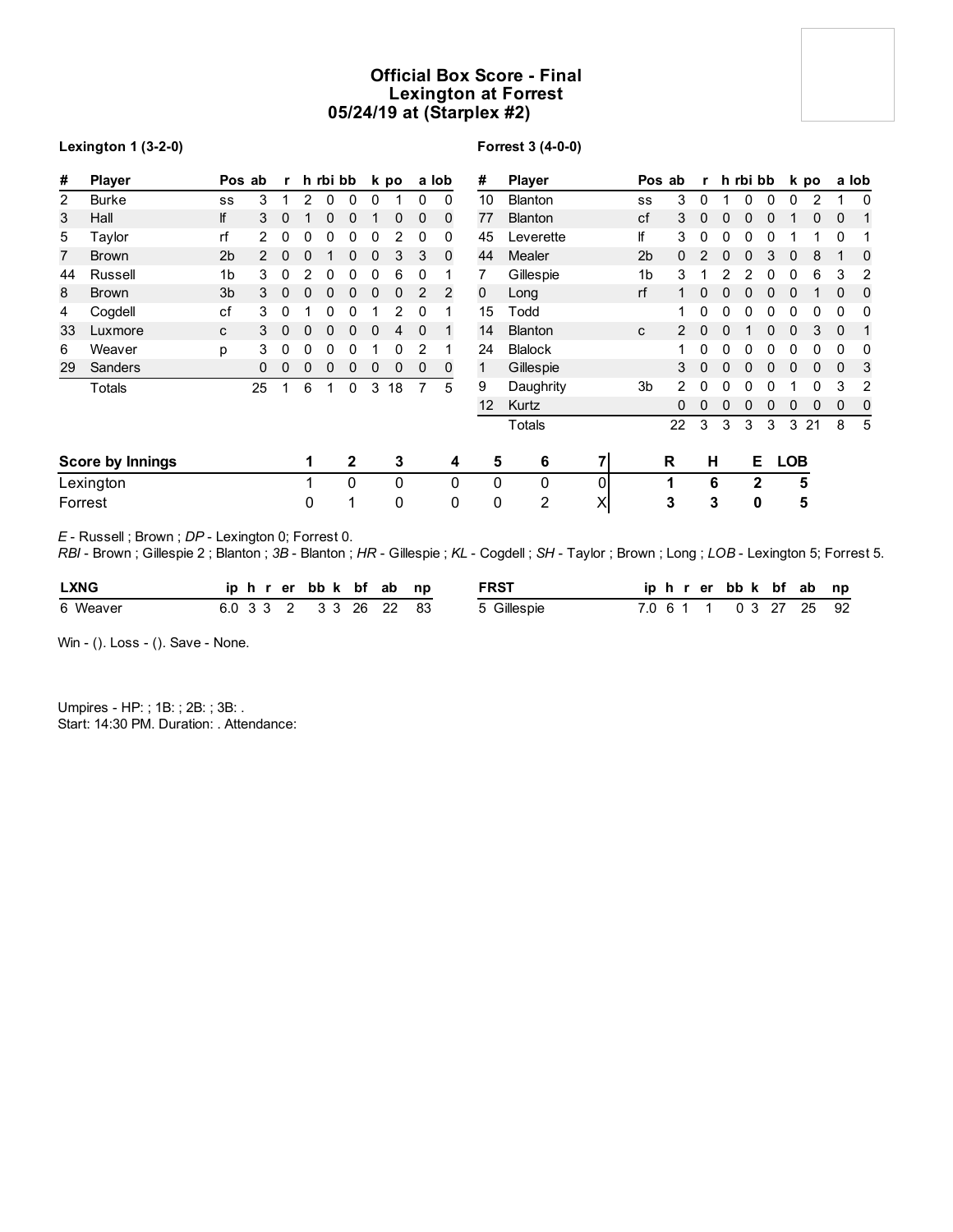# **Official Box Score - Final Lexington at Forrest 05/24/19 at (Starplex #2)**

| <b>Lexington 1 (3-2-0)</b> |  |  |  |
|----------------------------|--|--|--|
|----------------------------|--|--|--|

## **Forrest 3 (4-0-0)**

| #              | <b>Player</b>           | Pos ab         |                | $\mathbf{r}$ |              | h rbi bb     |              |              | k po        |             | a lob        | #               | <b>Player</b>  |          |                | Pos ab | r            |              | h rbi bb     |              |              | k po |              | a lob       |
|----------------|-------------------------|----------------|----------------|--------------|--------------|--------------|--------------|--------------|-------------|-------------|--------------|-----------------|----------------|----------|----------------|--------|--------------|--------------|--------------|--------------|--------------|------|--------------|-------------|
| $\overline{2}$ | Burke                   | SS             | 3              | 1            | 2            | 0            | 0            | 0            |             | 0           | $\mathbf{0}$ | 10              | <b>Blanton</b> |          | SS             | 3      | 0            |              | 0            | 0            | 0            | 2    |              | 0           |
| 3              | Hall                    | lf             | 3              | $\mathbf{0}$ | 1            | $\mathbf{0}$ | $\mathbf 0$  | 1            | $\mathbf 0$ | $\mathbf 0$ | $\mathbf 0$  | 77              | <b>Blanton</b> |          | cf             | 3      | $\mathbf{0}$ | 0            | 0            | 0            |              | 0    | $\mathbf 0$  | 1           |
| 5              | Taylor                  | rf             | $\overline{2}$ | 0            | 0            | 0            | 0            | 0            | 2           | 0           | 0            | 45              | Leverette      |          | lf             | 3      | 0            | 0            | 0            | 0            |              |      | 0            |             |
| 7              | <b>Brown</b>            | 2 <sub>b</sub> | $\mathcal{P}$  | $\mathbf{0}$ | 0            | 1            | 0            | $\mathbf{0}$ | 3           | 3           | $\mathbf 0$  | 44              | <b>Mealer</b>  |          | 2 <sub>b</sub> | 0      | 2            | 0            | $\Omega$     | 3            | $\mathbf 0$  | 8    |              | $\mathbf 0$ |
| 44             | Russell                 | 1 <sub>b</sub> | 3              | $\mathbf 0$  | 2            | 0            | 0            | $\mathbf 0$  | 6           | 0           |              |                 | Gillespie      |          | 1 <sub>b</sub> | 3      |              | 2            | 2            | 0            | 0            | 6    | 3            | 2           |
| 8              | <b>Brown</b>            | 3 <sub>b</sub> | 3              | $\mathbf{0}$ | 0            | 0            | 0            | $\mathbf{0}$ | $\mathbf 0$ | 2           | 2            | 0               | Long           |          | rf             | 1      | $\mathbf{0}$ | $\mathbf{0}$ | $\Omega$     | 0            | 0            |      | $\Omega$     | $\mathbf 0$ |
| 4              | Cogdell                 | cf             | 3              | 0            |              | 0            | 0            |              | 2           | $\Omega$    |              | 15              | Todd           |          |                |        | 0            | 0            | 0            | 0            | 0            | 0    | 0            | 0           |
| 33             | Luxmore                 | C              | 3              | $\mathbf{0}$ | $\mathbf{0}$ | $\mathbf{0}$ | $\mathbf 0$  | $\mathbf{0}$ | 4           | $\Omega$    | 1            | 14              | <b>Blanton</b> |          | C              | 2      | $\mathbf{0}$ | $\mathbf{0}$ |              | $\mathbf{0}$ | $\mathbf{0}$ | 3    | $\mathbf{0}$ | 1           |
| 6              | Weaver                  | p              | 3              | 0            | 0            | 0            | 0            |              | 0           | 2           |              | 24              | <b>Blalock</b> |          |                |        | $\mathbf{0}$ | 0            | 0            | 0            | 0            | 0    | 0            | 0           |
| 29             | <b>Sanders</b>          |                | $\mathbf{0}$   | $\mathbf{0}$ | 0            | $\mathbf{0}$ | 0            | $\mathbf{0}$ | $\mathbf 0$ | $\mathbf 0$ | 0            | 1               | Gillespie      |          |                | 3      | $\mathbf{0}$ | $\mathbf{0}$ | $\Omega$     | 0            | 0            | 0    | $\Omega$     | 3           |
|                | Totals                  |                | 25             | 1            | 6            |              | 0            | 3            | 18          | 7           | 5            | 9               | Daughrity      |          | 3b             | 2      | 0            | 0            | 0            | 0            |              | 0    | 3            | 2           |
|                |                         |                |                |              |              |              |              |              |             |             |              | 12 <sup>2</sup> | Kurtz          |          |                | 0      | $\mathbf{0}$ | $\mathbf{0}$ | 0            | 0            | 0            | 0    | $\mathbf 0$  | 0           |
|                |                         |                |                |              |              |              |              |              |             |             |              |                 | Totals         |          |                | 22     | 3            | 3            | 3            | 3            | 3            | 21   | 8            | 5           |
|                | <b>Score by Innings</b> |                |                |              | 1            |              | $\mathbf{2}$ |              | 3           |             | 4            | 5               | 6              | 71       |                | R      | н            |              | Е            |              | <b>LOB</b>   |      |              |             |
|                | Lexington               |                |                |              |              |              | 0            |              | $\Omega$    |             | 0            | 0               | $\mathbf{0}$   | 0        |                | 1      |              | 6            | $\mathbf{2}$ |              | 5            |      |              |             |
|                | Forrest                 |                |                |              | 0            |              | ◢            |              | 0           |             | 0            | 0               | 2              | $\times$ |                | 3      | 3            |              | 0            |              | 5            |      |              |             |

*E* - Russell ; Brown ; *DP* - Lexington 0; Forrest 0.

*RBI* - Brown ; Gillespie 2 ; Blanton ; *3B* - Blanton ; *HR* - Gillespie ; *KL* - Cogdell ; *SH* - Taylor ; Brown ; Long ; *LOB* - Lexington 5; Forrest 5.

| <b>LXNG</b> |  |  |  |  | iphrerbbk bfab np      | <b>FRST</b> |  |  | iphrerbbk bfab np      |  |  |
|-------------|--|--|--|--|------------------------|-------------|--|--|------------------------|--|--|
| 6 Weaver    |  |  |  |  | 6.0 3 3 2 3 3 26 22 83 | 5 Gillespie |  |  | 7.0 6 1 1 0 3 27 25 92 |  |  |

Win - (). Loss - (). Save - None.

Umpires - HP: ; 1B: ; 2B: ; 3B: . Start: 14:30 PM. Duration: . Attendance: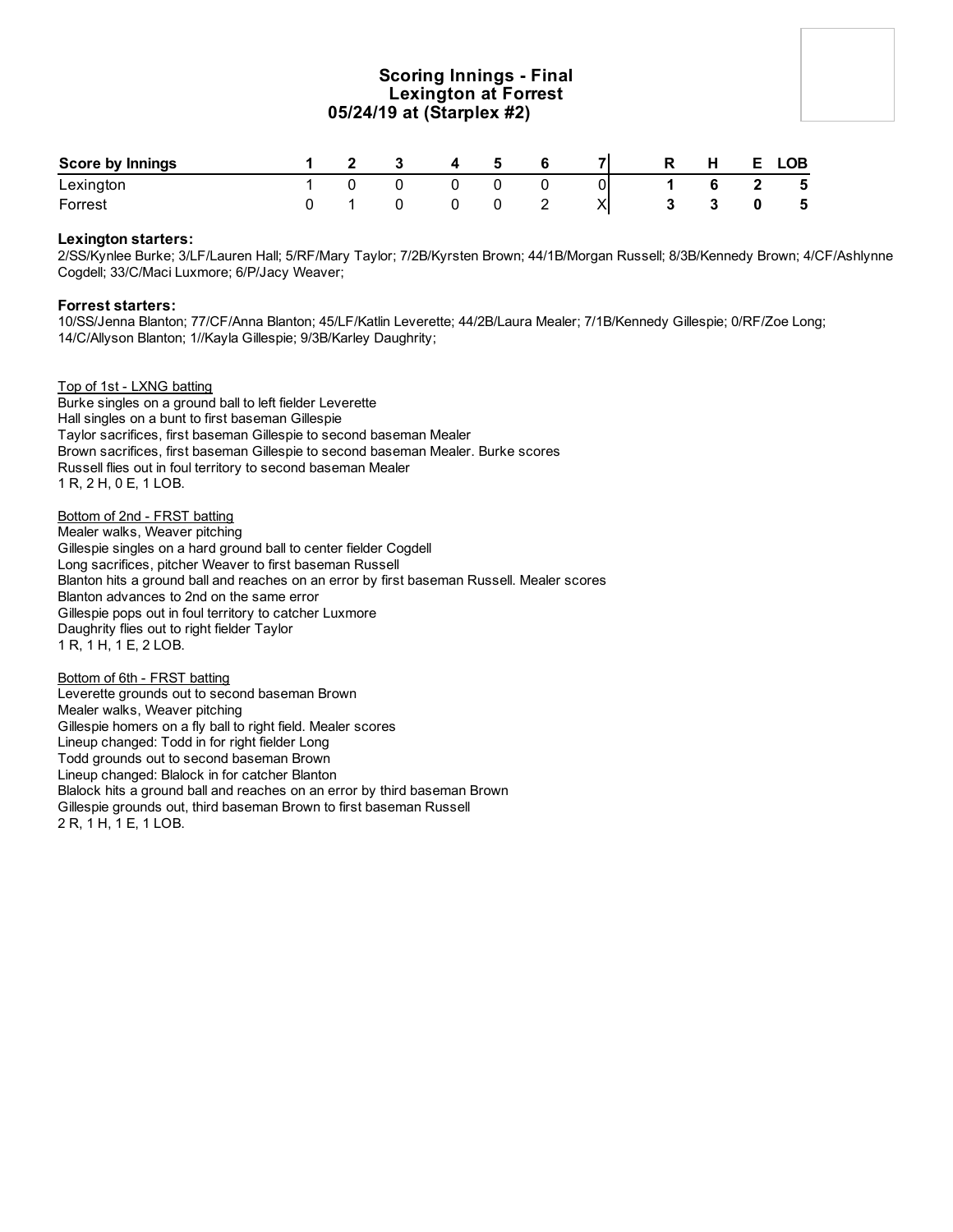# **Scoring Innings - Final Lexington at Forrest 05/24/19 at (Starplex #2)**

| <b>Score by Innings</b> |  | $\overline{\mathbf{3}}$ | $\overline{4}$ | - 5 |   | <b>71</b> | <b>R</b>     | H H | E LOB |
|-------------------------|--|-------------------------|----------------|-----|---|-----------|--------------|-----|-------|
| Lexington               |  |                         |                |     |   |           |              | 6   | 5     |
| Forrest                 |  |                         |                |     | - |           | $\mathbf{3}$ |     | $-5$  |

### **Lexington starters:**

2/SS/Kynlee Burke; 3/LF/Lauren Hall; 5/RF/Mary Taylor; 7/2B/Kyrsten Brown; 44/1B/Morgan Russell; 8/3B/Kennedy Brown; 4/CF/Ashlynne Cogdell; 33/C/Maci Luxmore; 6/P/Jacy Weaver;

### **Forrest starters:**

10/SS/Jenna Blanton; 77/CF/Anna Blanton; 45/LF/Katlin Leverette; 44/2B/Laura Mealer; 7/1B/Kennedy Gillespie; 0/RF/Zoe Long; 14/C/Allyson Blanton; 1//Kayla Gillespie; 9/3B/Karley Daughrity;

Top of 1st - LXNG batting

Burke singles on a ground ball to left fielder Leverette Hall singles on a bunt to first baseman Gillespie Taylor sacrifices, first baseman Gillespie to second baseman Mealer Brown sacrifices, first baseman Gillespie to second baseman Mealer. Burke scores Russell flies out in foul territory to second baseman Mealer 1 R, 2 H, 0 E, 1 LOB.

Bottom of 2nd - FRST batting Mealer walks, Weaver pitching Gillespie singles on a hard ground ball to center fielder Cogdell Long sacrifices, pitcher Weaver to first baseman Russell Blanton hits a ground ball and reaches on an error by first baseman Russell. Mealer scores Blanton advances to 2nd on the same error Gillespie pops out in foul territory to catcher Luxmore Daughrity flies out to right fielder Taylor 1 R, 1 H, 1 E, 2 LOB.

Bottom of 6th - FRST batting Leverette grounds out to second baseman Brown Mealer walks, Weaver pitching Gillespie homers on a fly ball to right field. Mealer scores Lineup changed: Todd in for right fielder Long Todd grounds out to second baseman Brown Lineup changed: Blalock in for catcher Blanton Blalock hits a ground ball and reaches on an error by third baseman Brown Gillespie grounds out, third baseman Brown to first baseman Russell 2 R, 1 H, 1 E, 1 LOB.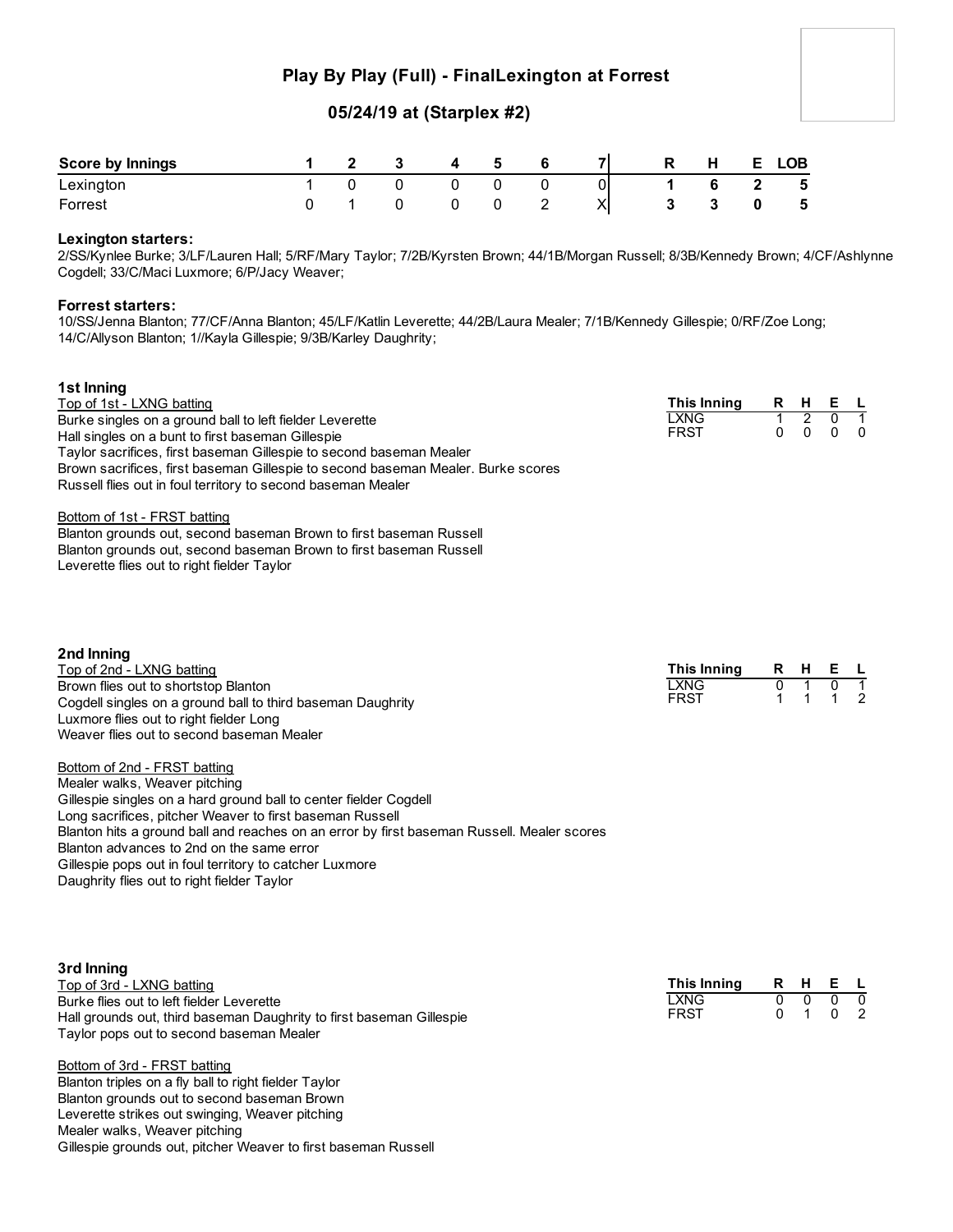# **Play By Play (Full) - FinalLexington at Forrest**

# **05/24/19 at (Starplex #2)**

| <b>Score by Innings</b> |  | 4 | 5 | -71 | R. | H            | E. | <b>LOB</b>               |
|-------------------------|--|---|---|-----|----|--------------|----|--------------------------|
| Lexington               |  |   |   | 01  |    | <sub>c</sub> |    | - 5                      |
| Forrest                 |  |   |   | XI  |    |              |    | $\overline{\phantom{0}}$ |

### **Lexington starters:**

2/SS/Kynlee Burke; 3/LF/Lauren Hall; 5/RF/Mary Taylor; 7/2B/Kyrsten Brown; 44/1B/Morgan Russell; 8/3B/Kennedy Brown; 4/CF/Ashlynne Cogdell; 33/C/Maci Luxmore; 6/P/Jacy Weaver;

### **Forrest starters:**

10/SS/Jenna Blanton; 77/CF/Anna Blanton; 45/LF/Katlin Leverette; 44/2B/Laura Mealer; 7/1B/Kennedy Gillespie; 0/RF/Zoe Long; 14/C/Allyson Blanton; 1//Kayla Gillespie; 9/3B/Karley Daughrity;

| 1st Inning<br>Top of 1st - LXNG batting<br>Burke singles on a ground ball to left fielder Leverette<br>Hall singles on a bunt to first baseman Gillespie<br>Taylor sacrifices, first baseman Gillespie to second baseman Mealer<br>Brown sacrifices, first baseman Gillespie to second baseman Mealer. Burke scores<br>Russell flies out in foul territory to second baseman Mealer<br>Bottom of 1st - FRST batting<br>Blanton grounds out, second baseman Brown to first baseman Russell<br>Blanton grounds out, second baseman Brown to first baseman Russell<br>Leverette flies out to right fielder Taylor                                                                                | <b>This Inning</b><br><b>LXNG</b><br><b>FRST</b> | R.<br>$\mathbf{1}$<br>$\Omega$ | H<br>$\overline{2}$<br>$\mathbf{0}$ | Е<br>0<br>$\mathbf{0}$ | - L<br>1<br>$\Omega$ |
|-----------------------------------------------------------------------------------------------------------------------------------------------------------------------------------------------------------------------------------------------------------------------------------------------------------------------------------------------------------------------------------------------------------------------------------------------------------------------------------------------------------------------------------------------------------------------------------------------------------------------------------------------------------------------------------------------|--------------------------------------------------|--------------------------------|-------------------------------------|------------------------|----------------------|
| 2nd Inning<br>Top of 2nd - LXNG batting<br>Brown flies out to shortstop Blanton<br>Cogdell singles on a ground ball to third baseman Daughrity<br>Luxmore flies out to right fielder Long<br>Weaver flies out to second baseman Mealer<br>Bottom of 2nd - FRST batting<br>Mealer walks, Weaver pitching<br>Gillespie singles on a hard ground ball to center fielder Cogdell<br>Long sacrifices, pitcher Weaver to first baseman Russell<br>Blanton hits a ground ball and reaches on an error by first baseman Russell. Mealer scores<br>Blanton advances to 2nd on the same error<br>Gillespie pops out in foul territory to catcher Luxmore<br>Daughrity flies out to right fielder Taylor | <b>This Inning</b><br><b>LXNG</b><br><b>FRST</b> | R<br>0<br>1                    | H                                   | Е<br>0                 | 1<br>$\mathcal{P}$   |

| 3rd Inning                                                           |             |   |          |         |          |
|----------------------------------------------------------------------|-------------|---|----------|---------|----------|
| Top of 3rd - LXNG batting                                            | This Inning |   |          | R H E L |          |
| Burke flies out to left fielder Leverette                            | LXNG        | 0 | $\Omega$ |         | $\Omega$ |
| Hall grounds out, third baseman Daughrity to first baseman Gillespie | <b>FRST</b> |   |          |         | - 2      |
| Taylor pops out to second baseman Mealer                             |             |   |          |         |          |
| Bottom of 3rd - FRST batting                                         |             |   |          |         |          |
| Blanton triples on a fly ball to right fielder Taylor                |             |   |          |         |          |

Blanton grounds out to second baseman Brown Leverette strikes out swinging, Weaver pitching Mealer walks, Weaver pitching Gillespie grounds out, pitcher Weaver to first baseman Russell